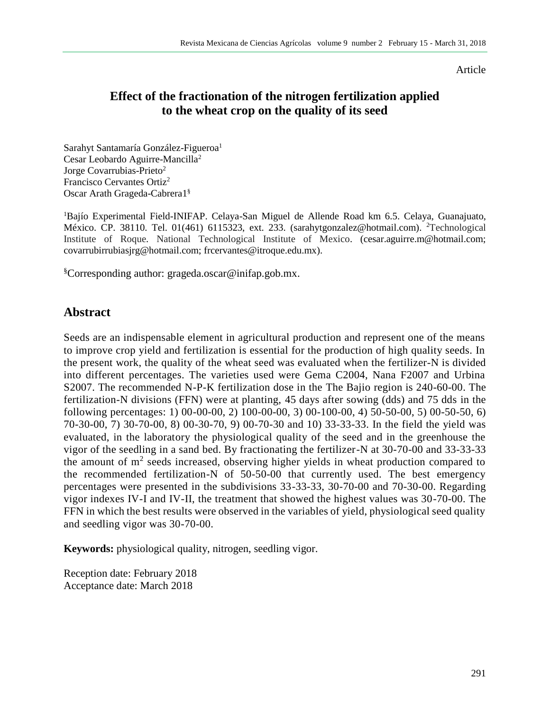Article

## **Effect of the fractionation of the nitrogen fertilization applied to the wheat crop on the quality of its seed**

Sarahyt Santamaría González-Figueroa<sup>1</sup> Cesar Leobardo Aguirre-Mancilla<sup>2</sup> Jorge Covarrubias-Prieto<sup>2</sup> Francisco Cervantes Ortiz<sup>2</sup> Oscar Arath Grageda-Cabrera1§

<sup>1</sup>Bajío Experimental Field-INIFAP. Celaya-San Miguel de Allende Road km 6.5. Celaya, Guanajuato, México. CP. 38110. Tel. 01(461) 6115323, ext. 233. (sarahytgonzalez@hotmail.com). <sup>2</sup>Technological Institute of Roque. National Technological Institute of Mexico. (cesar.aguirre.m@hotmail.com; covarrubirrubiasjrg@hotmail.com; [frcervantes@itroque.edu.mx\)](mailto:frcervantes@itroque.edu.mx).

§Corresponding author: [grageda.oscar@inifap.gob.mx.](mailto:grageda.oscar@inifap.gob.mx)

## **Abstract**

Seeds are an indispensable element in agricultural production and represent one of the means to improve crop yield and fertilization is essential for the production of high quality seeds. In the present work, the quality of the wheat seed was evaluated when the fertilizer-N is divided into different percentages. The varieties used were Gema C2004, Nana F2007 and Urbina S2007. The recommended N-P-K fertilization dose in the The Bajio region is 240-60-00. The fertilization-N divisions (FFN) were at planting, 45 days after sowing (dds) and 75 dds in the following percentages: 1) 00-00-00, 2) 100-00-00, 3) 00-100-00, 4) 50-50-00, 5) 00-50-50, 6) 70-30-00, 7) 30-70-00, 8) 00-30-70, 9) 00-70-30 and 10) 33-33-33. In the field the yield was evaluated, in the laboratory the physiological quality of the seed and in the greenhouse the vigor of the seedling in a sand bed. By fractionating the fertilizer-N at 30-70-00 and 33-33-33 the amount of  $m<sup>2</sup>$  seeds increased, observing higher yields in wheat production compared to the recommended fertilization-N of 50-50-00 that currently used. The best emergency percentages were presented in the subdivisions 33-33-33, 30-70-00 and 70-30-00. Regarding vigor indexes IV-I and IV-II, the treatment that showed the highest values was 30-70-00. The FFN in which the best results were observed in the variables of yield, physiological seed quality and seedling vigor was 30-70-00.

**Keywords:** physiological quality, nitrogen, seedling vigor.

Reception date: February 2018 Acceptance date: March 2018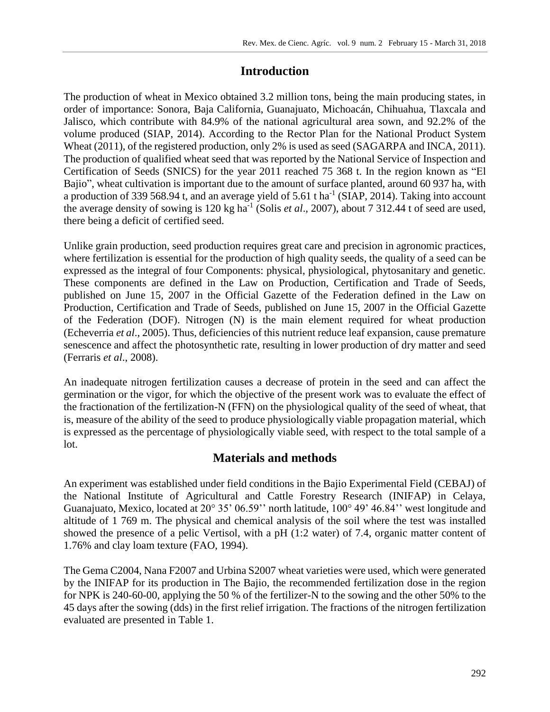# **Introduction**

The production of wheat in Mexico obtained 3.2 million tons, being the main producing states, in order of importance: Sonora, Baja California, Guanajuato, Michoacán, Chihuahua, Tlaxcala and Jalisco, which contribute with 84.9% of the national agricultural area sown, and 92.2% of the volume produced (SIAP, 2014). According to the Rector Plan for the National Product System Wheat (2011), of the registered production, only 2% is used as seed (SAGARPA and INCA, 2011). The production of qualified wheat seed that was reported by the National Service of Inspection and Certification of Seeds (SNICS) for the year 2011 reached 75 368 t. In the region known as "El Bajio", wheat cultivation is important due to the amount of surface planted, around 60 937 ha, with a production of 339 568.94 t, and an average yield of 5.61 t ha<sup>-1</sup> (SIAP, 2014). Taking into account the average density of sowing is 120 kg ha<sup>-1</sup> (Solis *et al.*, 2007), about 7 312.44 t of seed are used, there being a deficit of certified seed.

Unlike grain production, seed production requires great care and precision in agronomic practices, where fertilization is essential for the production of high quality seeds, the quality of a seed can be expressed as the integral of four Components: physical, physiological, phytosanitary and genetic. These components are defined in the Law on Production, Certification and Trade of Seeds, published on June 15, 2007 in the Official Gazette of the Federation defined in the Law on Production, Certification and Trade of Seeds, published on June 15, 2007 in the Official Gazette of the Federation (DOF). Nitrogen (N) is the main element required for wheat production (Echeverria *et al*., 2005). Thus, deficiencies of this nutrient reduce leaf expansion, cause premature senescence and affect the photosynthetic rate, resulting in lower production of dry matter and seed (Ferraris *et al*., 2008).

An inadequate nitrogen fertilization causes a decrease of protein in the seed and can affect the germination or the vigor, for which the objective of the present work was to evaluate the effect of the fractionation of the fertilization-N (FFN) on the physiological quality of the seed of wheat, that is, measure of the ability of the seed to produce physiologically viable propagation material, which is expressed as the percentage of physiologically viable seed, with respect to the total sample of a lot.

# **Materials and methods**

An experiment was established under field conditions in the Bajio Experimental Field (CEBAJ) of the National Institute of Agricultural and Cattle Forestry Research (INIFAP) in Celaya, Guanajuato, Mexico, located at 20° 35' 06.59'' north latitude, 100° 49' 46.84'' west longitude and altitude of 1 769 m. The physical and chemical analysis of the soil where the test was installed showed the presence of a pelic Vertisol, with a pH (1:2 water) of 7.4, organic matter content of 1.76% and clay loam texture (FAO, 1994).

The Gema C2004, Nana F2007 and Urbina S2007 wheat varieties were used, which were generated by the INIFAP for its production in The Bajio, the recommended fertilization dose in the region for NPK is 240-60-00, applying the 50 % of the fertilizer-N to the sowing and the other 50% to the 45 days after the sowing (dds) in the first relief irrigation. The fractions of the nitrogen fertilization evaluated are presented in Table 1.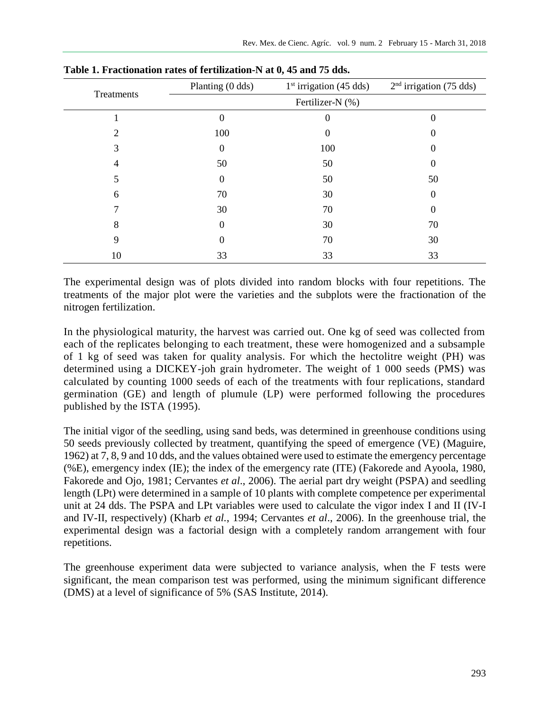| Treatments     | Planting (0 dds) | $2nd$ irrigation (75 dds) |          |
|----------------|------------------|---------------------------|----------|
|                |                  | Fertilizer-N (%)          |          |
|                | 0                | 0                         |          |
| $\mathfrak{D}$ | 100              | $\theta$                  |          |
| 3              | $\boldsymbol{0}$ | 100                       |          |
| 4              | 50               | 50                        |          |
| 5              | $\theta$         | 50                        | 50       |
| 6              | 70               | 30                        | $\theta$ |
|                | 30               | 70                        | 0        |
| 8              | 0                | 30                        | 70       |
| 9              | 0                | 70                        | 30       |
| 10             | 33               | 33                        | 33       |

**Table 1. Fractionation rates of fertilization-N at 0, 45 and 75 dds.**

The experimental design was of plots divided into random blocks with four repetitions. The treatments of the major plot were the varieties and the subplots were the fractionation of the nitrogen fertilization.

In the physiological maturity, the harvest was carried out. One kg of seed was collected from each of the replicates belonging to each treatment, these were homogenized and a subsample of 1 kg of seed was taken for quality analysis. For which the hectolitre weight (PH) was determined using a DICKEY-joh grain hydrometer. The weight of 1 000 seeds (PMS) was calculated by counting 1000 seeds of each of the treatments with four replications, standard germination (GE) and length of plumule (LP) were performed following the procedures published by the ISTA (1995).

The initial vigor of the seedling, using sand beds, was determined in greenhouse conditions using 50 seeds previously collected by treatment, quantifying the speed of emergence (VE) (Maguire, 1962) at 7, 8, 9 and 10 dds, and the values obtained were used to estimate the emergency percentage (%E), emergency index (IE); the index of the emergency rate (ITE) (Fakorede and Ayoola, 1980, Fakorede and Ojo, 1981; Cervantes *et al*., 2006). The aerial part dry weight (PSPA) and seedling length (LPt) were determined in a sample of 10 plants with complete competence per experimental unit at 24 dds. The PSPA and LPt variables were used to calculate the vigor index I and II (IV-I and IV-II, respectively) (Kharb *et al.*, 1994; Cervantes *et al*., 2006). In the greenhouse trial, the experimental design was a factorial design with a completely random arrangement with four repetitions.

The greenhouse experiment data were subjected to variance analysis, when the F tests were significant, the mean comparison test was performed, using the minimum significant difference (DMS) at a level of significance of 5% (SAS Institute, 2014).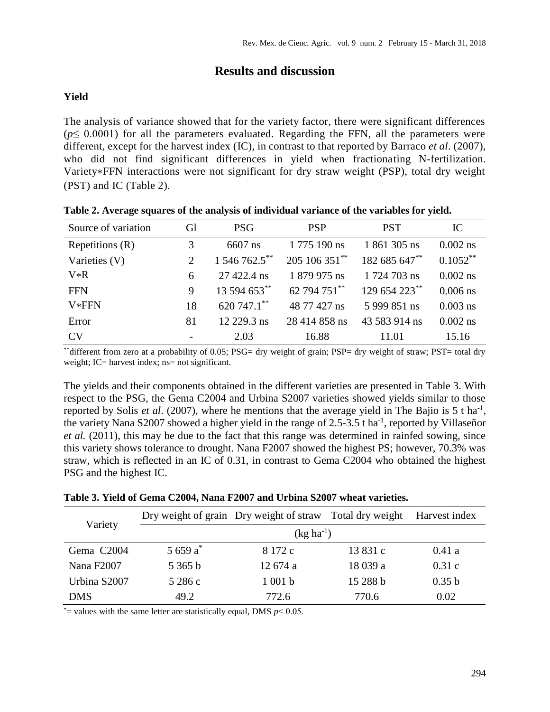## **Results and discussion**

## **Yield**

The analysis of variance showed that for the variety factor, there were significant differences  $(p \leq 0.0001)$  for all the parameters evaluated. Regarding the FFN, all the parameters were different, except for the harvest index (IC), in contrast to that reported by Barraco *et al*. (2007), who did not find significant differences in yield when fractionating N-fertilization. Variety\*FFN interactions were not significant for dry straw weight (PSP), total dry weight (PST) and IC (Table 2).

| Source of variation | Gl                          | <b>PSG</b>    | <b>PSP</b>    | <b>PST</b>    | IC          |
|---------------------|-----------------------------|---------------|---------------|---------------|-------------|
| Repetitions $(R)$   | 3                           | 6607 ns       | 1 775 190 ns  | 1 861 305 ns  | $0.002$ ns  |
| Varieties (V)       | $\mathcal{D}_{\mathcal{L}}$ | 1 546 762.5** | 205 106 351** | 182 685 647** | $0.1052***$ |
| $V*R$               | 6                           | 27 422.4 ns   | 1 879 975 ns  | 1 724 703 ns  | $0.002$ ns  |
| <b>FFN</b>          | 9                           | 13 594 653**  | 62 794 751**  | 129 654 223** | $0.006$ ns  |
| V*FFN               | 18                          | 620 747.1**   | 48 77 427 ns  | 5 999 851 ns  | $0.003$ ns  |
| Error               | 81                          | 12 229.3 ns   | 28 414 858 ns | 43 583 914 ns | $0.002$ ns  |
| CV                  |                             | 2.03          | 16.88         | 11.01         | 15.16       |

**Table 2. Average squares of the analysis of individual variance of the variables for yield.**

\*\*different from zero at a probability of 0.05; PSG= dry weight of grain; PSP= dry weight of straw; PST= total dry weight; IC= harvest index; ns= not significant.

The yields and their components obtained in the different varieties are presented in Table 3. With respect to the PSG, the Gema C2004 and Urbina S2007 varieties showed yields similar to those reported by Solis *et al.* (2007), where he mentions that the average yield in The Bajio is  $5$  t ha<sup>-1</sup>, the variety Nana S2007 showed a higher yield in the range of 2.5-3.5 t ha<sup>-1</sup>, reported by Villaseñor *et al.* (2011), this may be due to the fact that this range was determined in rainfed sowing, since this variety shows tolerance to drought. Nana F2007 showed the highest PS; however, 70.3% was straw, which is reflected in an IC of 0.31, in contrast to Gema C2004 who obtained the highest PSG and the highest IC.

|  |  |  | Table 3. Yield of Gema C2004, Nana F2007 and Urbina S2007 wheat varieties. |
|--|--|--|----------------------------------------------------------------------------|
|--|--|--|----------------------------------------------------------------------------|

| Variety                |                | Dry weight of grain Dry weight of straw Total dry weight |          | Harvest index |  |  |  |  |
|------------------------|----------------|----------------------------------------------------------|----------|---------------|--|--|--|--|
|                        | $(kg ha^{-1})$ |                                                          |          |               |  |  |  |  |
| Gema C2004             | 5 659 $a^*$    | 8 172 c                                                  | 13 831 c | 0.41a         |  |  |  |  |
| Nana F <sub>2007</sub> | 5365 b         | 12 674 a                                                 | 18 039 a | 0.31c         |  |  |  |  |
| Urbina S2007           | 5 286 c        | 1001 b                                                   | 15 288 b | 0.35 b        |  |  |  |  |
| <b>DMS</b>             | 49.2           | 772.6                                                    | 770.6    | 0.02          |  |  |  |  |

 $*$ = values with the same letter are statistically equal, DMS  $p$  < 0.05.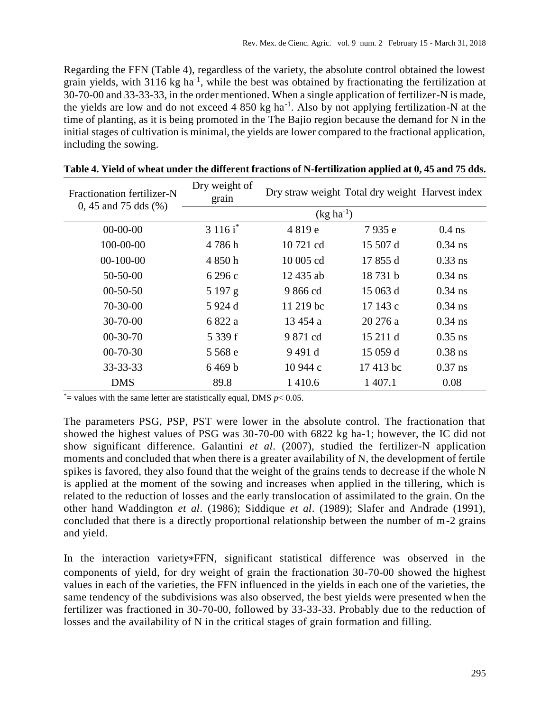Regarding the FFN (Table 4), regardless of the variety, the absolute control obtained the lowest grain yields, with 3116 kg ha<sup>-1</sup>, while the best was obtained by fractionating the fertilization at 30-70-00 and 33-33-33, in the order mentioned. When a single application of fertilizer-N is made, the yields are low and do not exceed 4 850 kg ha<sup>-1</sup>. Also by not applying fertilization-N at the time of planting, as it is being promoted in the The Bajio region because the demand for N in the initial stages of cultivation is minimal, the yields are lower compared to the fractional application, including the sowing.

| Fractionation fertilizer-N<br>0, 45 and 75 dds $(\% )$ | Dry weight of<br>grain | Dry straw weight Total dry weight Harvest index |          |           |  |
|--------------------------------------------------------|------------------------|-------------------------------------------------|----------|-----------|--|
|                                                        |                        | $(kg ha^{-1})$                                  |          |           |  |
| $00-00-00$                                             | 3 116 i*               | 4819e                                           | 7935 e   | $0.4$ ns  |  |
| 100-00-00                                              | 4786h                  | 10 721 cd                                       | 15 507 d | $0.34$ ns |  |
| $00-100-00$                                            | 4 850 h                | 10 005 cd                                       | 17 855 d | $0.33$ ns |  |
| $50 - 50 - 00$                                         | 6 296 c                | 12 435 ab                                       | 18731b   | $0.34$ ns |  |
| $00-50-50$                                             | 5197 g                 | 9866 cd                                         | 15 063 d | $0.34$ ns |  |
| $70-30-00$                                             | 5 924 d                | 11 219 bc                                       | 17 143 c | $0.34$ ns |  |
| $30 - 70 - 00$                                         | 6 822 a                | 13 454 a                                        | 20 276 a | $0.34$ ns |  |
| $00-30-70$                                             | 5 339 f                | 9 871 cd                                        | 15 211 d | $0.35$ ns |  |
| $00-70-30$                                             | 5 568 e                | 9491 d                                          | 15 059 d | $0.38$ ns |  |
| 33-33-33                                               | 6469b                  | 10 944 c                                        | 17413 bc | $0.37$ ns |  |
| <b>DMS</b>                                             | 89.8                   | 1 4 1 0.6                                       | 1 407.1  | 0.08      |  |

 $*$ = values with the same letter are statistically equal, DMS  $p$  < 0.05.

The parameters PSG, PSP, PST were lower in the absolute control. The fractionation that showed the highest values of PSG was 30-70-00 with 6822 kg ha-1; however, the IC did not show significant difference. Galantini *et al*. (2007), studied the fertilizer-N application moments and concluded that when there is a greater availability of N, the development of fertile spikes is favored, they also found that the weight of the grains tends to decrease if the whole N is applied at the moment of the sowing and increases when applied in the tillering, which is related to the reduction of losses and the early translocation of assimilated to the grain. On the other hand Waddington *et al*. (1986); Siddique *et al*. (1989); Slafer and Andrade (1991), concluded that there is a directly proportional relationship between the number of m-2 grains and yield.

In the interaction variety\*FFN, significant statistical difference was observed in the components of yield, for dry weight of grain the fractionation 30-70-00 showed the highest values in each of the varieties, the FFN influenced in the yields in each one of the varieties, the same tendency of the subdivisions was also observed, the best yields were presented when the fertilizer was fractioned in 30-70-00, followed by 33-33-33. Probably due to the reduction of losses and the availability of N in the critical stages of grain formation and filling.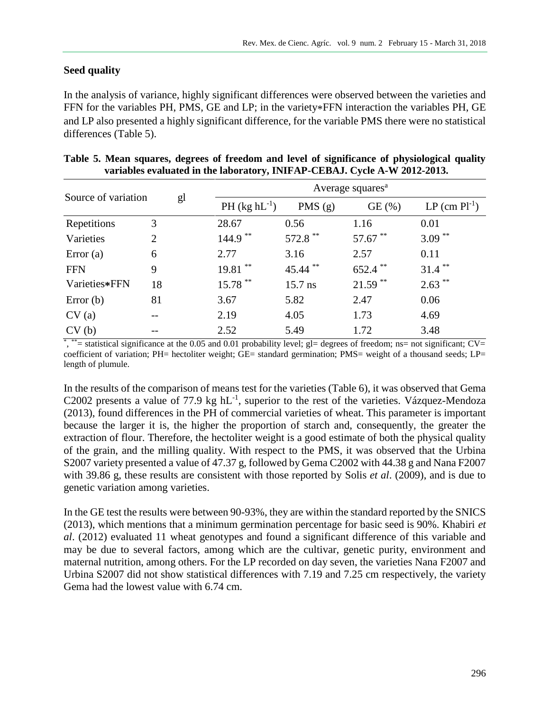#### **Seed quality**

In the analysis of variance, highly significant differences were observed between the varieties and FFN for the variables PH, PMS, GE and LP; in the variety\*FFN interaction the variables PH, GE and LP also presented a highly significant difference, for the variable PMS there were no statistical differences (Table 5).

|                     |                |                   | Average squares <sup>a</sup> |            |                      |  |  |  |
|---------------------|----------------|-------------------|------------------------------|------------|----------------------|--|--|--|
| Source of variation | gl             | $PH (kg hL^{-1})$ | PMS $(g)$                    | GE(%)      | $LP$ (cm $Pl^{-1}$ ) |  |  |  |
| Repetitions         | 3              | 28.67             | 0.56                         | 1.16       | 0.01                 |  |  |  |
| Varieties           | $\overline{2}$ | $144.9$ **        | 572.8 **                     | $57.67$ ** | $3.09***$            |  |  |  |
| Error(a)            | 6              | 2.77              | 3.16                         | 2.57       | 0.11                 |  |  |  |
| <b>FFN</b>          | 9              | $19.81$ **        | $45.44$ **                   | $652.4$ ** | $31.4***$            |  |  |  |
| Varieties*FFN       | 18             | 15.78 **          | 15.7 ns                      | $21.59$ ** | $2.63***$            |  |  |  |
| Error $(b)$         | 81             | 3.67              | 5.82                         | 2.47       | 0.06                 |  |  |  |
| CV(a)               | --             | 2.19              | 4.05                         | 1.73       | 4.69                 |  |  |  |
| CV(b)               |                | 2.52              | 5.49                         | 1.72       | 3.48                 |  |  |  |

| Table 5. Mean squares, degrees of freedom and level of significance of physiological quality |  |  |  |
|----------------------------------------------------------------------------------------------|--|--|--|
| variables evaluated in the laboratory, INIFAP-CEBAJ. Cycle A-W 2012-2013.                    |  |  |  |

 $*$ ,  $*$  = statistical significance at the 0.05 and 0.01 probability level; gl= degrees of freedom; ns= not significant; CV= coefficient of variation; PH= hectoliter weight; GE= standard germination; PMS= weight of a thousand seeds; LP= length of plumule.

In the results of the comparison of means test for the varieties (Table 6), it was observed that Gema C2002 presents a value of 77.9 kg  $hL^{-1}$ , superior to the rest of the varieties. Vázquez-Mendoza (2013), found differences in the PH of commercial varieties of wheat. This parameter is important because the larger it is, the higher the proportion of starch and, consequently, the greater the extraction of flour. Therefore, the hectoliter weight is a good estimate of both the physical quality of the grain, and the milling quality. With respect to the PMS, it was observed that the Urbina S2007 variety presented a value of 47.37 g, followed by Gema C2002 with 44.38 g and Nana F2007 with 39.86 g, these results are consistent with those reported by Solis *et al*. (2009), and is due to genetic variation among varieties.

In the GE test the results were between 90-93%, they are within the standard reported by the SNICS (2013), which mentions that a minimum germination percentage for basic seed is 90%. Khabiri *et al*. (2012) evaluated 11 wheat genotypes and found a significant difference of this variable and may be due to several factors, among which are the cultivar, genetic purity, environment and maternal nutrition, among others. For the LP recorded on day seven, the varieties Nana F2007 and Urbina S2007 did not show statistical differences with 7.19 and 7.25 cm respectively, the variety Gema had the lowest value with 6.74 cm.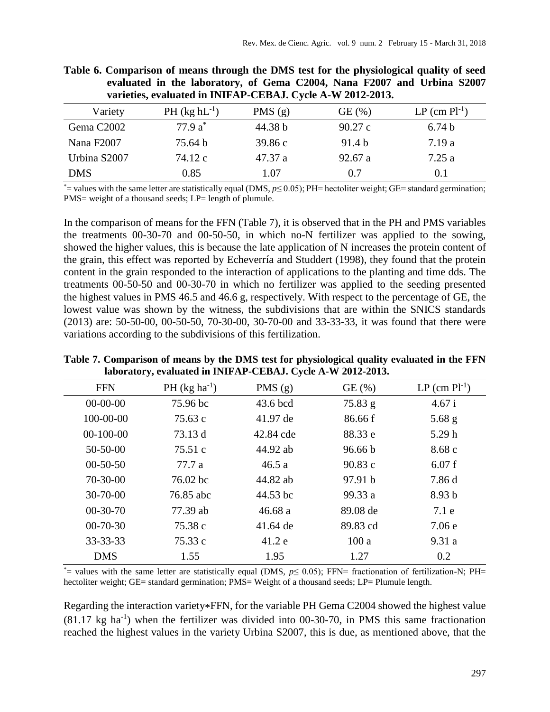| Variety                | PH $(kg hL^{-1})$ | PMS $(g)$ | GE(%)             | $LP$ (cm $Pl^{-1}$ ) |
|------------------------|-------------------|-----------|-------------------|----------------------|
| Gema C <sub>2002</sub> | 77.9 $a^*$        | 44.38 b   | 90.27c            | 6.74 <sub>b</sub>    |
| Nana F2007             | 75.64 b           | 39.86c    | 91.4 <sub>b</sub> | 7.19a                |
| Urbina S2007           | 74.12 c           | 47.37 a   | 92.67 a           | 7.25a                |
| <b>DMS</b>             | 0.85              | 1.07      | 0.7               | 0.1                  |

|  | Table 6. Comparison of means through the DMS test for the physiological quality of seed |  |  |  |  |
|--|-----------------------------------------------------------------------------------------|--|--|--|--|
|  | evaluated in the laboratory, of Gema C2004, Nana F2007 and Urbina S2007                 |  |  |  |  |
|  | varieties, evaluated in INIFAP-CEBAJ. Cycle A-W 2012-2013.                              |  |  |  |  |

\*= values with the same letter are statistically equal (DMS, *p*≤ 0.05); PH= hectoliter weight; GE= standard germination; PMS= weight of a thousand seeds; LP= length of plumule.

In the comparison of means for the FFN (Table 7), it is observed that in the PH and PMS variables the treatments 00-30-70 and 00-50-50, in which no-N fertilizer was applied to the sowing, showed the higher values, this is because the late application of N increases the protein content of the grain, this effect was reported by Echeverría and Studdert (1998), they found that the protein content in the grain responded to the interaction of applications to the planting and time dds. The treatments 00-50-50 and 00-30-70 in which no fertilizer was applied to the seeding presented the highest values in PMS 46.5 and 46.6 g, respectively. With respect to the percentage of GE, the lowest value was shown by the witness, the subdivisions that are within the SNICS standards (2013) are: 50-50-00, 00-50-50, 70-30-00, 30-70-00 and 33-33-33, it was found that there were variations according to the subdivisions of this fertilization.

**Table 7. Comparison of means by the DMS test for physiological quality evaluated in the FFN laboratory, evaluated in INIFAP-CEBAJ. Cycle A-W 2012-2013.**

| <b>FFN</b>      | PH $(kg ha^{-1})$  | PMS $(g)$ | GE(%)              | $LP$ (cm $Pl^{-1}$ ) |
|-----------------|--------------------|-----------|--------------------|----------------------|
| $00-00-00$      | 75.96 bc           | 43.6 bcd  | 75.83 g            | 4.67 i               |
| $100 - 00 - 00$ | 75.63 c            | 41.97 de  | 86.66 f            | $5.68$ g             |
| $00-100-00$     | 73.13 d            | 42.84 cde | 88.33 e            | 5.29h                |
| $50-50-00$      | 75.51 c            | 44.92 ab  | 96.66 <sub>b</sub> | 8.68c                |
| $00-50-50$      | 77.7 a             | 46.5a     | 90.83c             | 6.07f                |
| $70-30-00$      | $76.02 \text{ bc}$ | 44.82 ab  | 97.91 <sub>b</sub> | 7.86 d               |
| $30 - 70 - 00$  | 76.85 abc          | 44.53 bc  | 99.33 a            | 8.93 <sub>b</sub>    |
| $00-30-70$      | 77.39 ab           | 46.68a    | 89.08 de           | 7.1 e                |
| $00-70-30$      | 75.38 c            | 41.64 de  | 89.83 cd           | 7.06e                |
| $33 - 33 - 33$  | 75.33 c            | 41.2 e    | 100a               | 9.31a                |
| <b>DMS</b>      | 1.55               | 1.95      | 1.27               | 0.2                  |

\*= values with the same letter are statistically equal (DMS, *p*≤ 0.05); FFN= fractionation of fertilization-N; PH= hectoliter weight; GE= standard germination; PMS= Weight of a thousand seeds; LP= Plumule length.

Regarding the interaction variety\*FFN, for the variable PH Gema C2004 showed the highest value  $(81.17 \text{ kg ha}^{-1})$  when the fertilizer was divided into 00-30-70, in PMS this same fractionation reached the highest values in the variety Urbina S2007, this is due, as mentioned above, that the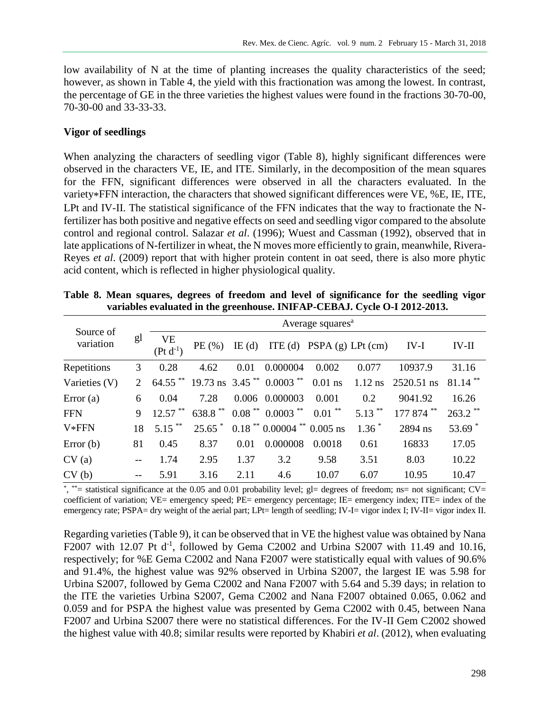low availability of N at the time of planting increases the quality characteristics of the seed; however, as shown in Table 4, the yield with this fractionation was among the lowest. In contrast, the percentage of GE in the three varieties the highest values were found in the fractions 30-70-00, 70-30-00 and 33-33-33.

#### **Vigor of seedlings**

When analyzing the characters of seedling vigor (Table 8), highly significant differences were observed in the characters VE, IE, and ITE. Similarly, in the decomposition of the mean squares for the FFN, significant differences were observed in all the characters evaluated. In the variety\*FFN interaction, the characters that showed significant differences were VE, %E, IE, ITE, LPt and IV-II. The statistical significance of the FFN indicates that the way to fractionate the Nfertilizer has both positive and negative effects on seed and seedling vigor compared to the absolute control and regional control. Salazar *et al*. (1996); Wuest and Cassman (1992), observed that in late applications of N-fertilizer in wheat, the N moves more efficiently to grain, meanwhile, Rivera-Reyes *et al*. (2009) report that with higher protein content in oat seed, there is also more phytic acid content, which is reflected in higher physiological quality.

| Source of     | Average squares <sup>a</sup> |                     |                       |       |                                |                           |           |            |            |
|---------------|------------------------------|---------------------|-----------------------|-------|--------------------------------|---------------------------|-----------|------------|------------|
| variation     | gl                           | VE<br>$(Pt d^{-1})$ | PE(%)                 | IE(d) |                                | ITE (d) PSPA (g) LPt (cm) |           | $IV-I$     | IV-II      |
| Repetitions   | 3                            | 0.28                | 4.62                  | 0.01  | 0.000004                       | 0.002                     | 0.077     | 10937.9    | 31.16      |
| Varieties (V) | 2                            | $64.55$ **          |                       |       | 19.73 ns $3.45$ ** $0.0003$ ** | $0.01$ ns                 | $1.12$ ns | 2520.51 ns | $81.14$ ** |
| Error $(a)$   | 6                            | 0.04                | 7.28                  |       | 0.006 0.000003                 | 0.001                     | 0.2       | 9041.92    | 16.26      |
| <b>FFN</b>    | 9                            | $12.57$ **          | $638.8$ <sup>**</sup> |       | $0.08$ ** $0.0003$ **          | $0.01$ **                 | $5.13$ ** | 177 874 ** | $263.2$ ** |
| V*FFN         | 18                           | $5.15***$           | $25.65$ <sup>*</sup>  |       | $0.18$ ** 0.00004 ** 0.005 ns  |                           | $1.36*$   | 2894 ns    | $53.69*$   |
| Error $(b)$   | 81                           | 0.45                | 8.37                  | 0.01  | 0.000008                       | 0.0018                    | 0.61      | 16833      | 17.05      |
| CV(a)         |                              | 1.74                | 2.95                  | 1.37  | 3.2                            | 9.58                      | 3.51      | 8.03       | 10.22      |
| CV(b)         | $- -$                        | 5.91                | 3.16                  | 2.11  | 4.6                            | 10.07                     | 6.07      | 10.95      | 10.47      |

**Table 8. Mean squares, degrees of freedom and level of significance for the seedling vigor variables evaluated in the greenhouse. INIFAP-CEBAJ. Cycle O-I 2012-2013.**

 $*$ ,  $*$  = statistical significance at the 0.05 and 0.01 probability level; gl= degrees of freedom; ns= not significant; CV= coefficient of variation; VE= emergency speed; PE= emergency percentage; IE= emergency index; ITE= index of the emergency rate; PSPA= dry weight of the aerial part; LPt= length of seedling; IV-I= vigor index I; IV-II= vigor index II.

Regarding varieties (Table 9), it can be observed that in VE the highest value was obtained by Nana F2007 with 12.07 Pt  $d^{-1}$ , followed by Gema C2002 and Urbina S2007 with 11.49 and 10.16, respectively; for %E Gema C2002 and Nana F2007 were statistically equal with values of 90.6% and 91.4%, the highest value was 92% observed in Urbina S2007, the largest IE was 5.98 for Urbina S2007, followed by Gema C2002 and Nana F2007 with 5.64 and 5.39 days; in relation to the ITE the varieties Urbina S2007, Gema C2002 and Nana F2007 obtained 0.065, 0.062 and 0.059 and for PSPA the highest value was presented by Gema C2002 with 0.45, between Nana F2007 and Urbina S2007 there were no statistical differences. For the IV-II Gem C2002 showed the highest value with 40.8; similar results were reported by Khabiri *et al*. (2012), when evaluating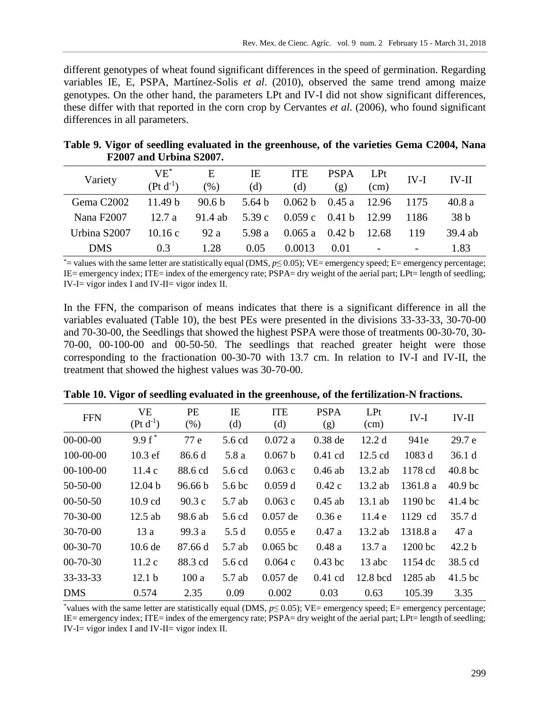different genotypes of wheat found significant differences in the speed of germination. Regarding variables IE, E, PSPA, Martínez-Solis *et al*. (2010), observed the same trend among maize genotypes. On the other hand, the parameters LPt and IV-I did not show significant differences, these differ with that reported in the corn crop by Cervantes *et al*. (2006), who found significant differences in all parameters.

| Table 9. Vigor of seedling evaluated in the greenhouse, of the varieties Gema C2004, Nana |  |  |
|-------------------------------------------------------------------------------------------|--|--|
| F2007 and Urbina S2007.                                                                   |  |  |

| Variety                | $VE^*$<br>$(\text{Pt d}^{-1})$ | Е<br>(% )         | IΕ<br>(d) | <b>ITE</b><br>(d) | <b>PSPA</b><br>(g) | LPt<br>(cm)              | $IV-I$                   | $IV-II$         |
|------------------------|--------------------------------|-------------------|-----------|-------------------|--------------------|--------------------------|--------------------------|-----------------|
| Gema C <sub>2002</sub> | 11.49 <sub>b</sub>             | 90.6 <sub>b</sub> | 5.64 b    | 0.062 b           | 0.45 a             | - 12.96                  | 1175                     | 40.8a           |
| Nana F2007             | 12.7a                          | 91.4 ab           | 5.39 c    | 0.059c            | 0.41 b             | 12.99                    | 1186                     | 38 <sub>b</sub> |
| Urbina S2007           | 10.16c                         | 92a               | 5.98 a    | 0.065a            | 0.42 <sub>b</sub>  | -12.68                   | 119                      | 39.4 ab         |
| <b>DMS</b>             | 0.3                            | 1.28              | 0.05      | 0.0013            | 0.01               | $\overline{\phantom{m}}$ | $\overline{\phantom{a}}$ | 1.83            |

\*= values with the same letter are statistically equal (DMS, *p*≤ 0.05); VE= emergency speed; E= emergency percentage; IE= emergency index; ITE= index of the emergency rate; PSPA= dry weight of the aerial part; LPt= length of seedling; IV-I $=$  vigor index I and IV-II $=$  vigor index II.

In the FFN, the comparison of means indicates that there is a significant difference in all the variables evaluated (Table 10), the best PEs were presented in the divisions 33-33-33, 30-70-00 and 70-30-00, the Seedlings that showed the highest PSPA were those of treatments 00-30-70, 30- 70-00, 00-100-00 and 00-50-50. The seedlings that reached greater height were those corresponding to the fractionation 00-30-70 with 13.7 cm. In relation to IV-I and IV-II, the treatment that showed the highest values was 30-70-00.

| <b>FFN</b>      | <b>VE</b><br>$(Pt d^{-1})$ | <b>PE</b><br>(% ) | ΙE<br>(d)         | <b>ITE</b><br>(d) | <b>PSPA</b><br>(g) | LPt<br>(cm)       | $IV-I$    | $IV-II$            |
|-----------------|----------------------------|-------------------|-------------------|-------------------|--------------------|-------------------|-----------|--------------------|
| $00-00-00$      | $9.9 f^*$                  | 77 e              | 5.6 cd            | 0.072a            | $0.38$ de          | 12.2 d            | 941e      | 29.7 e             |
| $100 - 00 - 00$ | $10.3$ ef                  | 86.6 d            | 5.8 a             | 0.067 b           | $0.41$ cd          | $12.5 \text{ cd}$ | 1083 d    | 36.1 <sub>d</sub>  |
| $00-100-00$     | 11.4c                      | 88.6 cd           | 5.6 cd            | 0.063c            | $0.46$ ab          | $13.2$ ab         | 1178 cd   | 40.8 <sub>bc</sub> |
| $50 - 50 - 00$  | 12.04 b                    | 96.66 b           | 5.6 <sub>bc</sub> | 0.059d            | 0.42c              | $13.2$ ab         | 1361.8 a  | 40.9 <sub>bc</sub> |
| $00-50-50$      | $10.9$ cd                  | 90.3c             | 5.7 ab            | 0.063c            | $0.45$ ab          | $13.1$ ab         | 1190 bc   | 41.4 bc            |
| $70 - 30 - 00$  | $12.5$ ab                  | 98.6 ab           | 5.6 cd            | $0.057$ de        | 0.36e              | 11.4 e            | 1129 cd   | 35.7 d             |
| $30 - 70 - 00$  | 13a                        | 99.3 a            | 5.5d              | 0.055 e           | 0.47a              | $13.2$ ab         | 1318.8 a  | 47 a               |
| $00-30-70$      | $10.6$ de                  | 87.66 d           | 5.7 ab            | $0.065$ bc        | 0.48a              | 13.7a             | 1200 bc   | 42.2 <sub>b</sub>  |
| $00-70-30$      | 11.2c                      | 88.3 cd           | 5.6 cd            | 0.064c            | $0.43$ bc          | 13 abc            | 1154 dc   | 38.5 cd            |
| $33 - 33 - 33$  | 12.1 <sub>b</sub>          | 100a              | 5.7 ab            | $0.057$ de        | $0.41$ cd          | 12.8 bcd          | $1285$ ab | $41.5$ bc          |
| <b>DMS</b>      | 0.574                      | 2.35              | 0.09              | 0.002             | 0.03               | 0.63              | 105.39    | 3.35               |

**Table 10. Vigor of seedling evaluated in the greenhouse, of the fertilization-N fractions.**

\*values with the same letter are statistically equal (DMS, *p*≤ 0.05); VE= emergency speed; E= emergency percentage; IE= emergency index; ITE= index of the emergency rate; PSPA= dry weight of the aerial part; LPt= length of seedling; IV-I= vigor index I and IV-II= vigor index II.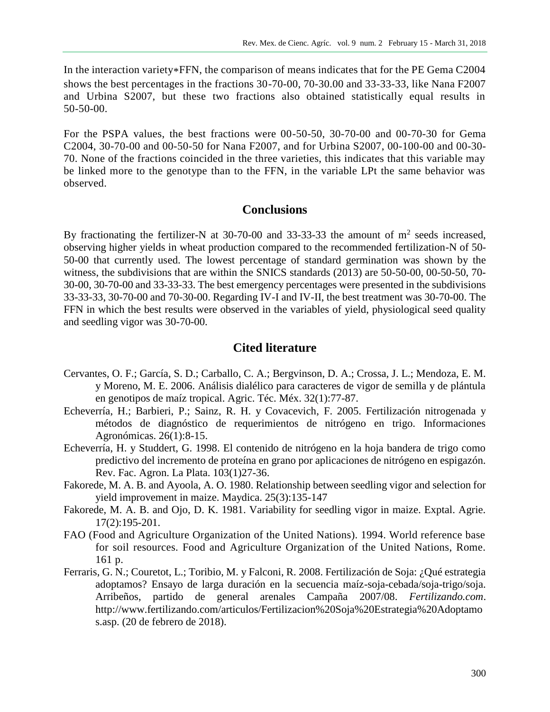In the interaction variety\*FFN, the comparison of means indicates that for the PE Gema C2004 shows the best percentages in the fractions 30-70-00, 70-30.00 and 33-33-33, like Nana F2007 and Urbina S2007, but these two fractions also obtained statistically equal results in 50-50-00.

For the PSPA values, the best fractions were 00-50-50, 30-70-00 and 00-70-30 for Gema C2004, 30-70-00 and 00-50-50 for Nana F2007, and for Urbina S2007, 00-100-00 and 00-30- 70. None of the fractions coincided in the three varieties, this indicates that this variable may be linked more to the genotype than to the FFN, in the variable LPt the same behavior was observed.

#### **Conclusions**

By fractionating the fertilizer-N at 30-70-00 and 33-33-33 the amount of  $m<sup>2</sup>$  seeds increased, observing higher yields in wheat production compared to the recommended fertilization-N of 50- 50-00 that currently used. The lowest percentage of standard germination was shown by the witness, the subdivisions that are within the SNICS standards (2013) are 50-50-00, 00-50-50, 70- 30-00, 30-70-00 and 33-33-33. The best emergency percentages were presented in the subdivisions 33-33-33, 30-70-00 and 70-30-00. Regarding IV-I and IV-II, the best treatment was 30-70-00. The FFN in which the best results were observed in the variables of yield, physiological seed quality and seedling vigor was 30-70-00.

## **Cited literature**

- Cervantes, O. F.; García, S. D.; Carballo, C. A.; Bergvinson, D. A.; Crossa, J. L.; Mendoza, E. M. y Moreno, M. E. 2006. Análisis dialélico para caracteres de vigor de semilla y de plántula en genotipos de maíz tropical. Agric. Téc. Méx. 32(1):77-87.
- Echeverría, H.; Barbieri, P.; Sainz, R. H. y Covacevich, F. 2005. Fertilización nitrogenada y métodos de diagnóstico de requerimientos de nitrógeno en trigo. Informaciones Agronómicas. 26(1):8-15.
- Echeverría, H. y Studdert, G. 1998. El contenido de nitrógeno en la hoja bandera de trigo como predictivo del incremento de proteína en grano por aplicaciones de nitrógeno en espigazón. Rev. Fac. Agron. La Plata. 103(1)27-36.
- Fakorede, M. A. B. and Ayoola, A. O. 1980. Relationship between seedling vigor and selection for yield improvement in maize. Maydica. 25(3):135-147
- Fakorede, M. A. B. and Ojo, D. K. 1981. Variability for seedling vigor in maize. Exptal. Agrie. 17(2):195-201.
- FAO (Food and Agriculture Organization of the United Nations). 1994. World reference base for soil resources. Food and Agriculture Organization of the United Nations, Rome. 161 p.
- Ferraris, G. N.; Couretot, L.; Toribio, M. y Falconi, R. 2008. Fertilización de Soja: ¿Qué estrategia adoptamos? Ensayo de larga duración en la secuencia maíz-soja-cebada/soja-trigo/soja. Arribeños, partido de general arenales Campaña 2007/08. *Fertilizando.com*. http://www.fertilizando.com/articulos/Fertilizacion%20Soja%20Estrategia%20Adoptamo s.asp. (20 de febrero de 2018).